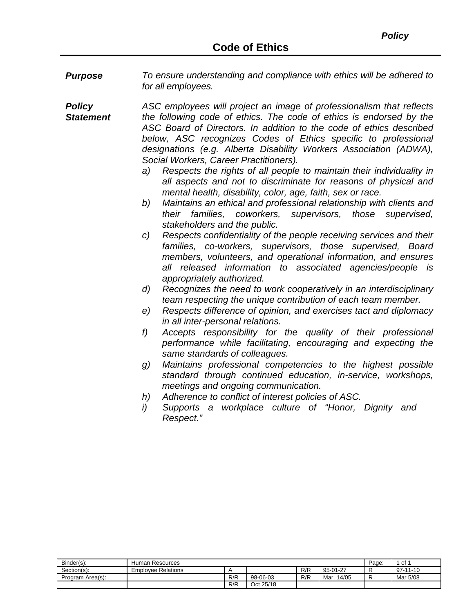*Purpose To ensure understanding and compliance with ethics will be adhered to for all employees.*

*Policy Statement ASC employees will project an image of professionalism that reflects the following code of ethics. The code of ethics is endorsed by the ASC Board of Directors. In addition to the code of ethics described below, ASC recognizes Codes of Ethics specific to professional designations (e.g. Alberta Disability Workers Association (ADWA), Social Workers, Career Practitioners).*

- *a) Respects the rights of all people to maintain their individuality in all aspects and not to discriminate for reasons of physical and mental health, disability, color, age, faith, sex or race.*
- *b) Maintains an ethical and professional relationship with clients and their families, coworkers, supervisors, those supervised, stakeholders and the public.*
- *c) Respects confidentiality of the people receiving services and their families, co-workers, supervisors, those supervised, Board members, volunteers, and operational information, and ensures all released information to associated agencies/people is appropriately authorized.*
- *d) Recognizes the need to work cooperatively in an interdisciplinary team respecting the unique contribution of each team member.*
- *e) Respects difference of opinion, and exercises tact and diplomacy in all inter-personal relations.*
- *f) Accepts responsibility for the quality of their professional performance while facilitating, encouraging and expecting the same standards of colleagues.*
- *g) Maintains professional competencies to the highest possible standard through continued education, in-service, workshops, meetings and ongoing communication.*
- *h) Adherence to conflict of interest policies of ASC.*
- *i) Supports a workplace culture of "Honor, Dignity and Respect."*

| Binder(s):       | Human Resources           | Page: | . of 1    |     |               |  |                |
|------------------|---------------------------|-------|-----------|-----|---------------|--|----------------|
| Section(s):      | <b>Emplovee Relations</b> |       |           | R/R | 95-01-27      |  | $97 - 11 - 10$ |
| Program Area(s): |                           | R/R   | 98-06-03  | R/R | 14/05<br>Mar. |  | Mar 5/08       |
|                  |                           | R/R   | Oct 25/18 |     |               |  |                |